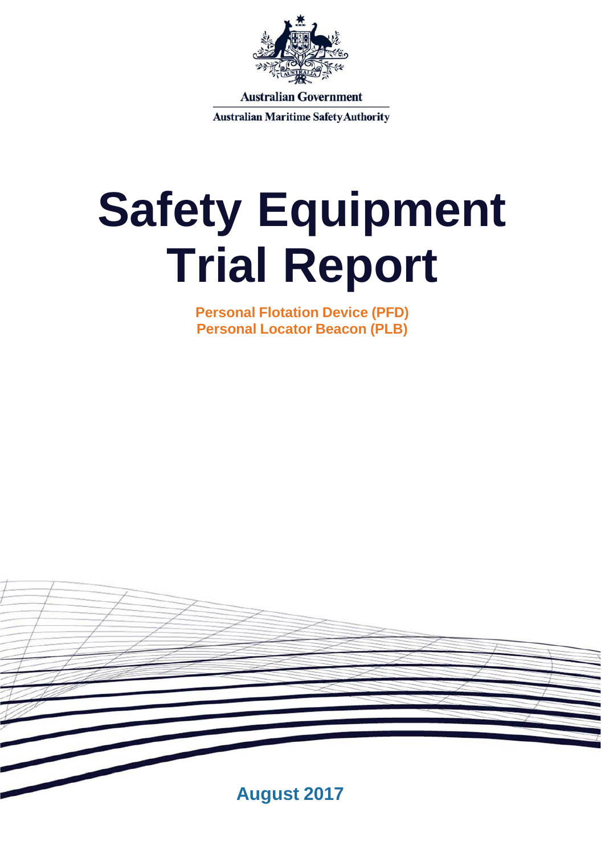

**Australian Government** 

**Australian Maritime Safety Authority** 

# **Safety Equipment Trial Report**

**Personal Flotation Device (PFD) Personal Locator Beacon (PLB)**

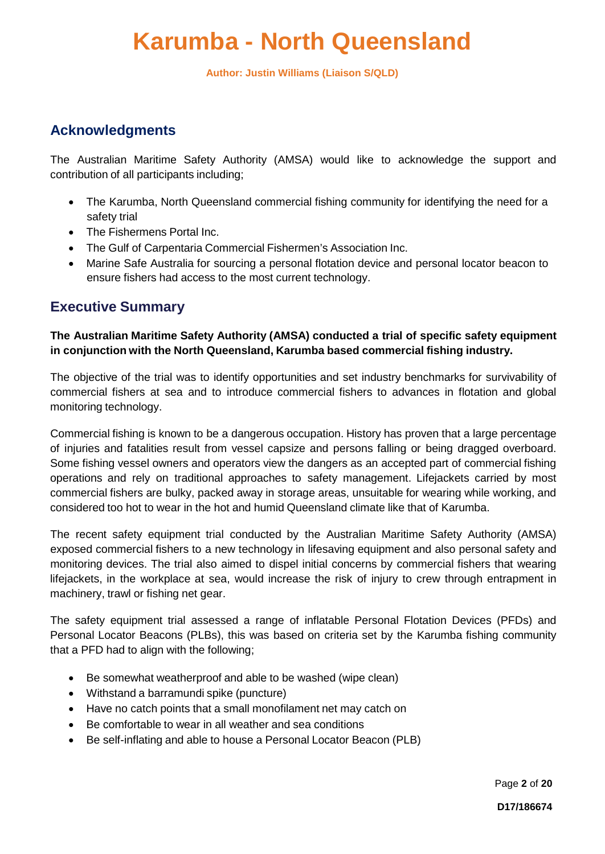### **Karumba - North Queensland**

**Author: Justin Williams (Liaison S/QLD)**

### **Acknowledgments**

The Australian Maritime Safety Authority (AMSA) would like to acknowledge the support and contribution of all participants including;

- The Karumba, North Queensland commercial fishing community for identifying the need for a safety trial
- The Fishermens Portal Inc.
- The Gulf of Carpentaria Commercial Fishermen's Association Inc.
- Marine Safe Australia for sourcing a personal flotation device and personal locator beacon to ensure fishers had access to the most current technology.

### **Executive Summary**

### **The Australian Maritime Safety Authority (AMSA) conducted a trial of specific safety equipment in conjunction with the North Queensland, Karumba based commercial fishing industry.**

The objective of the trial was to identify opportunities and set industry benchmarks for survivability of commercial fishers at sea and to introduce commercial fishers to advances in flotation and global monitoring technology.

Commercial fishing is known to be a dangerous occupation. History has proven that a large percentage of injuries and fatalities result from vessel capsize and persons falling or being dragged overboard. Some fishing vessel owners and operators view the dangers as an accepted part of commercial fishing operations and rely on traditional approaches to safety management. Lifejackets carried by most commercial fishers are bulky, packed away in storage areas, unsuitable for wearing while working, and considered too hot to wear in the hot and humid Queensland climate like that of Karumba.

The recent safety equipment trial conducted by the Australian Maritime Safety Authority (AMSA) exposed commercial fishers to a new technology in lifesaving equipment and also personal safety and monitoring devices. The trial also aimed to dispel initial concerns by commercial fishers that wearing lifejackets, in the workplace at sea, would increase the risk of injury to crew through entrapment in machinery, trawl or fishing net gear.

The safety equipment trial assessed a range of inflatable Personal Flotation Devices (PFDs) and Personal Locator Beacons (PLBs), this was based on criteria set by the Karumba fishing community that a PFD had to align with the following;

- Be somewhat weatherproof and able to be washed (wipe clean)
- Withstand a barramundi spike (puncture)
- Have no catch points that a small monofilament net may catch on
- Be comfortable to wear in all weather and sea conditions
- Be self-inflating and able to house a Personal Locator Beacon (PLB)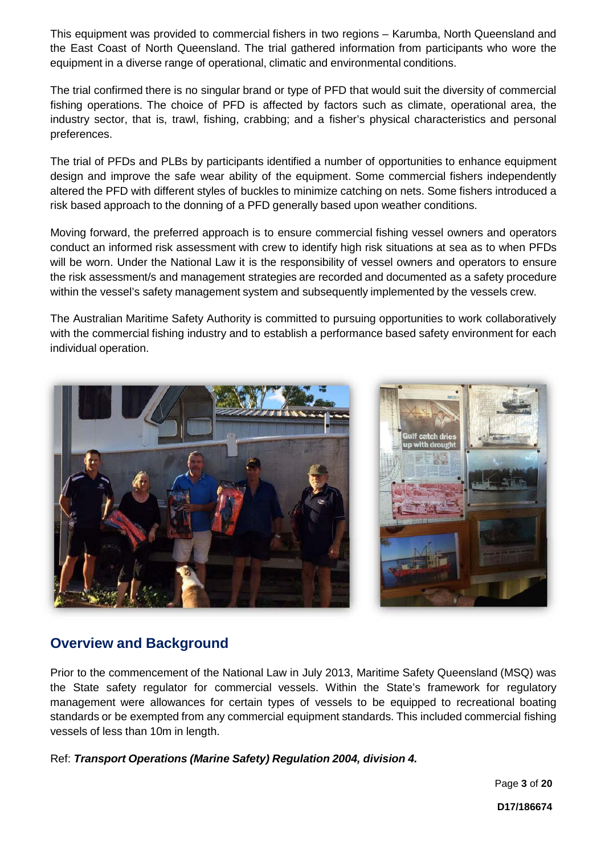This equipment was provided to commercial fishers in two regions – Karumba, North Queensland and the East Coast of North Queensland. The trial gathered information from participants who wore the equipment in a diverse range of operational, climatic and environmental conditions.

The trial confirmed there is no singular brand or type of PFD that would suit the diversity of commercial fishing operations. The choice of PFD is affected by factors such as climate, operational area, the industry sector, that is, trawl, fishing, crabbing; and a fisher's physical characteristics and personal preferences.

The trial of PFDs and PLBs by participants identified a number of opportunities to enhance equipment design and improve the safe wear ability of the equipment. Some commercial fishers independently altered the PFD with different styles of buckles to minimize catching on nets. Some fishers introduced a risk based approach to the donning of a PFD generally based upon weather conditions.

Moving forward, the preferred approach is to ensure commercial fishing vessel owners and operators conduct an informed risk assessment with crew to identify high risk situations at sea as to when PFDs will be worn. Under the National Law it is the responsibility of vessel owners and operators to ensure the risk assessment/s and management strategies are recorded and documented as a safety procedure within the vessel's safety management system and subsequently implemented by the vessels crew.

The Australian Maritime Safety Authority is committed to pursuing opportunities to work collaboratively with the commercial fishing industry and to establish a performance based safety environment for each individual operation.



### **Overview and Background**

Prior to the commencement of the National Law in July 2013, Maritime Safety Queensland (MSQ) was the State safety regulator for commercial vessels. Within the State's framework for regulatory management were allowances for certain types of vessels to be equipped to recreational boating standards or be exempted from any commercial equipment standards. This included commercial fishing vessels of less than 10m in length.

### Ref: *Transport Operations (Marine Safety) Regulation 2004, division 4.*

Page **3** of **20**

**D17/186674**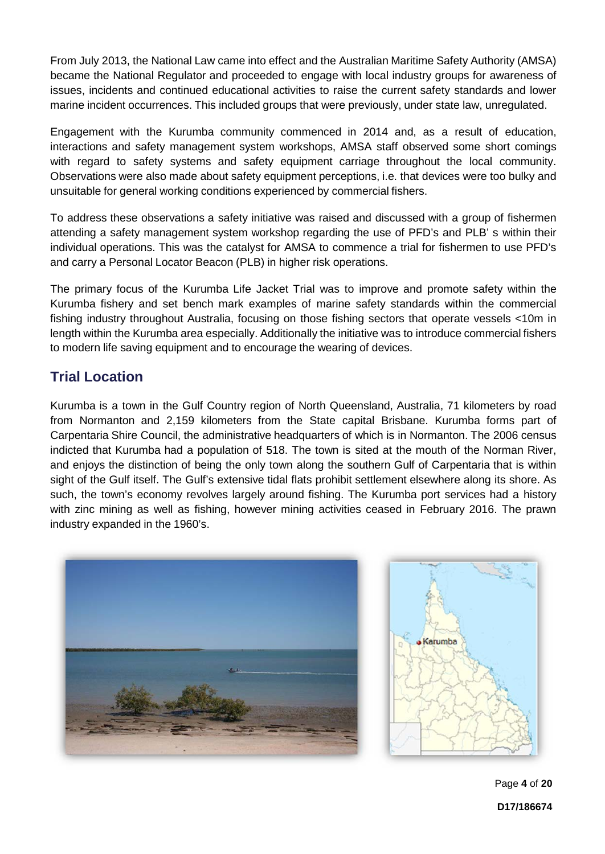From July 2013, the National Law came into effect and the Australian Maritime Safety Authority (AMSA) became the National Regulator and proceeded to engage with local industry groups for awareness of issues, incidents and continued educational activities to raise the current safety standards and lower marine incident occurrences. This included groups that were previously, under state law, unregulated.

Engagement with the Kurumba community commenced in 2014 and, as a result of education, interactions and safety management system workshops, AMSA staff observed some short comings with regard to safety systems and safety equipment carriage throughout the local community. Observations were also made about safety equipment perceptions, i.e. that devices were too bulky and unsuitable for general working conditions experienced by commercial fishers.

To address these observations a safety initiative was raised and discussed with a group of fishermen attending a safety management system workshop regarding the use of PFD's and PLB' s within their individual operations. This was the catalyst for AMSA to commence a trial for fishermen to use PFD's and carry a Personal Locator Beacon (PLB) in higher risk operations.

The primary focus of the Kurumba Life Jacket Trial was to improve and promote safety within the Kurumba fishery and set bench mark examples of marine safety standards within the commercial fishing industry throughout Australia, focusing on those fishing sectors that operate vessels <10m in length within the Kurumba area especially. Additionally the initiative was to introduce commercial fishers to modern life saving equipment and to encourage the wearing of devices.

### **Trial Location**

Kurumba is a town in the Gulf Country region of North Queensland, Australia, 71 kilometers by road from Normanton and 2,159 kilometers from the State capital Brisbane. Kurumba forms part of Carpentaria Shire Council, the administrative headquarters of which is in Normanton. The 2006 census indicted that Kurumba had a population of 518. The town is sited at the mouth of the Norman River, and enjoys the distinction of being the only town along the southern Gulf of Carpentaria that is within sight of the Gulf itself. The Gulf's extensive tidal flats prohibit settlement elsewhere along its shore. As such, the town's economy revolves largely around fishing. The Kurumba port services had a history with zinc mining as well as fishing, however mining activities ceased in February 2016. The prawn industry expanded in the 1960's.



Page **4** of **20**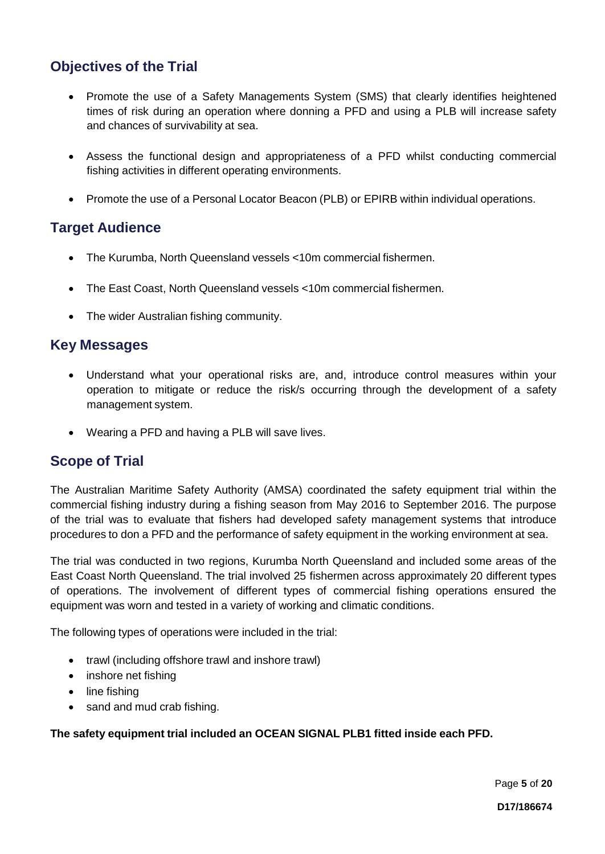### **Objectives of the Trial**

- Promote the use of a Safety Managements System (SMS) that clearly identifies heightened times of risk during an operation where donning a PFD and using a PLB will increase safety and chances of survivability at sea.
- Assess the functional design and appropriateness of a PFD whilst conducting commercial fishing activities in different operating environments.
- Promote the use of a Personal Locator Beacon (PLB) or EPIRB within individual operations.

### **Target Audience**

- The Kurumba, North Queensland vessels <10m commercial fishermen.
- The East Coast, North Queensland vessels <10m commercial fishermen.
- The wider Australian fishing community.

### **Key Messages**

- Understand what your operational risks are, and, introduce control measures within your operation to mitigate or reduce the risk/s occurring through the development of a safety management system.
- Wearing a PFD and having a PLB will save lives.

### **Scope of Trial**

The Australian Maritime Safety Authority (AMSA) coordinated the safety equipment trial within the commercial fishing industry during a fishing season from May 2016 to September 2016. The purpose of the trial was to evaluate that fishers had developed safety management systems that introduce procedures to don a PFD and the performance of safety equipment in the working environment at sea.

The trial was conducted in two regions, Kurumba North Queensland and included some areas of the East Coast North Queensland. The trial involved 25 fishermen across approximately 20 different types of operations. The involvement of different types of commercial fishing operations ensured the equipment was worn and tested in a variety of working and climatic conditions.

The following types of operations were included in the trial:

- trawl (including offshore trawl and inshore trawl)
- inshore net fishing
- line fishing
- sand and mud crab fishing.

**The safety equipment trial included an OCEAN SIGNAL PLB1 fitted inside each PFD.**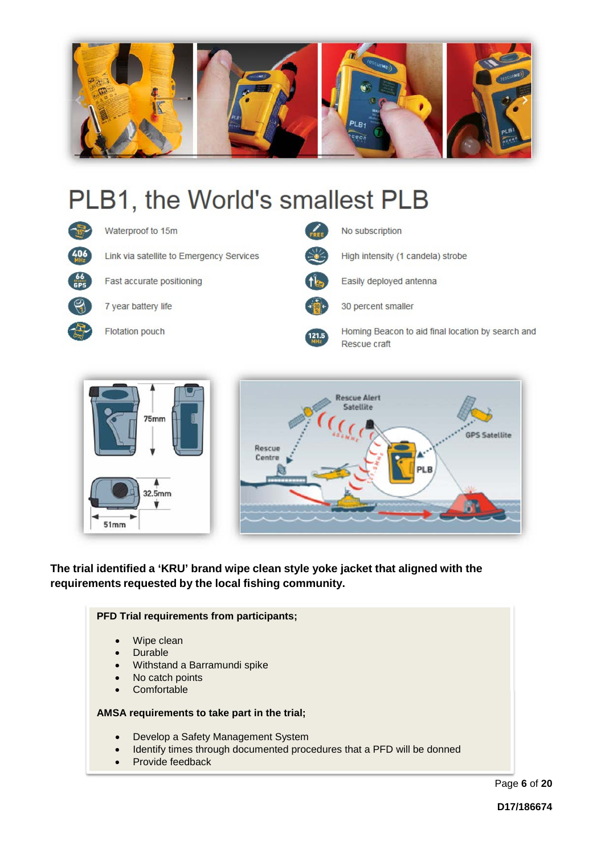

# PLB1, the World's smallest PLB





**The trial identified a 'KRU' brand wipe clean style yoke jacket that aligned with the requirements requested by the local fishing community.**

### **PFD Trial requirements from participants;** Wipe clean **Durable** • Withstand a Barramundi spike No catch points • Comfortable **AMSA requirements to take part in the trial;** • Develop a Safety Management System • Identify times through documented procedures that a PFD will be donned • Provide feedback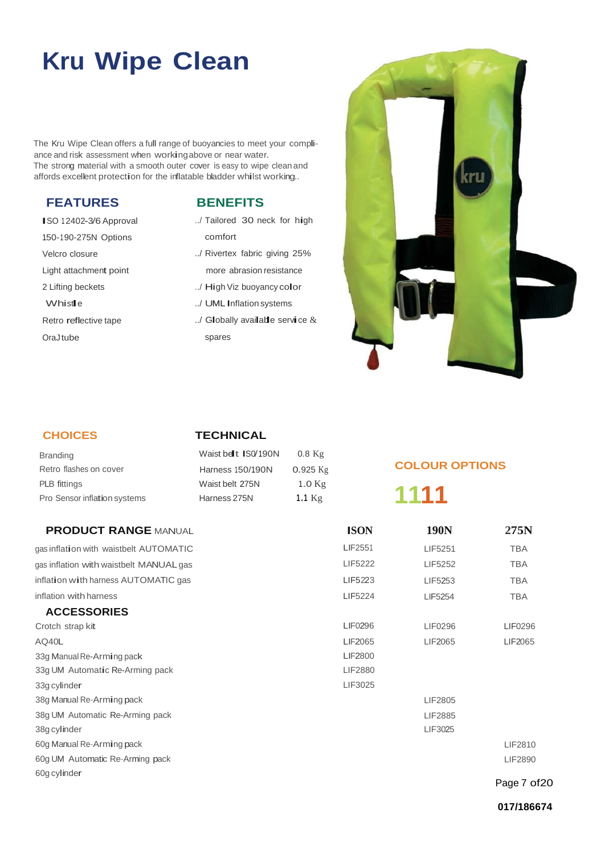## **Kru Wipe Clean**

The Kru Wipe Clean offers a full range of buoyancies to meet your compliance and risk assessment when workingabove or near water. The strong material with a smooth outer cover is easy to wipe clean and affords excellent protection for the inflatable bladder whilst working..

### **FEATURES**

ISO 12402-3/6 Approval 150-1 90-275N Options Velcro closure Light attachment point 2 Lifting beckets Whist<sub>le</sub> Retro reflective tape OraJ tube

### **BENEFITS**

- ../ Tailored 30 neck for high comfort
- ../ Rivertex fabric giving 25% more abrasion resistance
- ../ High Viz buoyancy color
- ../ UML Inflation systems
- ../ Globally available service & spares



### **CHOICES**

### **TECHNICAL**

| <b>Branding</b>              | Waist be t ISO/190N     | $0.8$ Kg   |
|------------------------------|-------------------------|------------|
| Retro flashes on cover       | <b>Harness 150/190N</b> | $0.925$ Kg |
| <b>PLB</b> fittings          | Waist belt 275N         | $1.0$ Kg   |
| Pro Sensor inflation systems | Harness 275N            | 1.1 $Kg$   |

### **PRODUCT RANGE** MANUAL gas inflation with waistbelt AUTOMATIC

gas inflation with waistbelt MANUAL gas inflation with harness AUTOMATIC gas inflation with harness

#### **ACCESSORIES**

| Crotch strap kit                |
|---------------------------------|
| AO40L                           |
| 33g Manual Re-Arming pack       |
| 33g UM Automatic Re-Arming pack |
| 33q cylinder                    |
| 38g Manual Re-Arming pack       |
| 38g UM Automatic Re-Arming pack |
| 38q cylinder                    |
| 60g Manual Re-Arming pack       |
| 60g UM Automatic Re-Arming pack |
| 60q cylinder                    |

### **COLOUR OPTIONS**

### **1111**

| <b>ISON</b>    | 190N    | 275N         |
|----------------|---------|--------------|
| LIF2551        | LIF5251 | <b>TBA</b>   |
| <b>LIF5222</b> | LIF5252 | <b>TBA</b>   |
| LIF5223        | LIF5253 | <b>TBA</b>   |
| LIF5224        | LIF5254 | <b>TBA</b>   |
| LIF0296        | LIF0296 | LIF0296      |
| LIF2065        | LIF2065 | LIF2065      |
| <b>LIF2800</b> |         |              |
| LIF2880        |         |              |
| LIF3025        |         |              |
|                | LIF2805 |              |
|                | LIF2885 |              |
|                | LIF3025 |              |
|                |         | LIF2810      |
|                |         | LIF2890      |
|                |         | Page 7 of 20 |

**017/186674**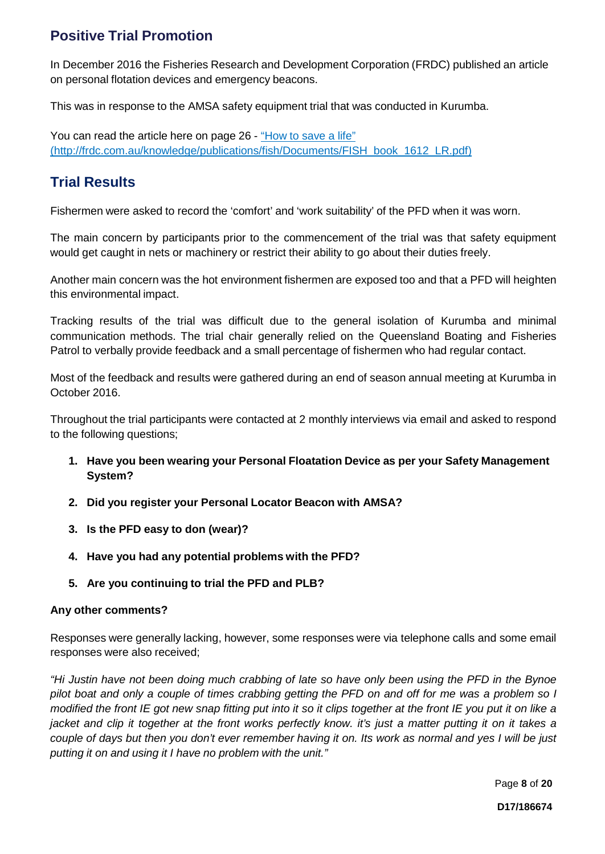### **Positive Trial Promotion**

In December 2016 the Fisheries Research and Development Corporation (FRDC) published an article on personal flotation devices and emergency beacons.

This was in response to the AMSA safety equipment trial that was conducted in Kurumba.

You can read the article here on page 26 - ["How](http://frdc.com.au/knowledge/publications/fish/Documents/FISH_book_1612_LR.pdf) to save a life" [\(http://frdc.com.au/knowledge/publications/fish/Documents/FISH\\_book\\_1612\\_LR.pdf\)](http://frdc.com.au/knowledge/publications/fish/Documents/FISH_book_1612_LR.pdf))

### **Trial Results**

Fishermen were asked to record the 'comfort' and 'work suitability' of the PFD when it was worn.

The main concern by participants prior to the commencement of the trial was that safety equipment would get caught in nets or machinery or restrict their ability to go about their duties freely.

Another main concern was the hot environment fishermen are exposed too and that a PFD will heighten this environmental impact.

Tracking results of the trial was difficult due to the general isolation of Kurumba and minimal communication methods. The trial chair generally relied on the Queensland Boating and Fisheries Patrol to verbally provide feedback and a small percentage of fishermen who had regular contact.

Most of the feedback and results were gathered during an end of season annual meeting at Kurumba in October 2016.

Throughout the trial participants were contacted at 2 monthly interviews via email and asked to respond to the following questions;

- **1. Have you been wearing your Personal Floatation Device as per your Safety Management System?**
- **2. Did you register your Personal Locator Beacon with AMSA?**
- **3. Is the PFD easy to don (wear)?**
- **4. Have you had any potential problems with the PFD?**
- **5. Are you continuing to trial the PFD and PLB?**

### **Any other comments?**

Responses were generally lacking, however, some responses were via telephone calls and some email responses were also received;

"Hi Justin have not been doing much crabbing of late so have only been using the PFD in the Bynoe pilot boat and only a couple of times crabbing getting the PFD on and off for me was a problem so I modified the front IE got new snap fitting put into it so it clips together at the front IE you put it on like a jacket and clip it together at the front works perfectly know. it's just a matter putting it on it takes a couple of days but then you don't ever remember having it on. Its work as normal and yes I will be just *putting it on and using it I have no problem with the unit."*

Page **8** of **20**

**D17/186674**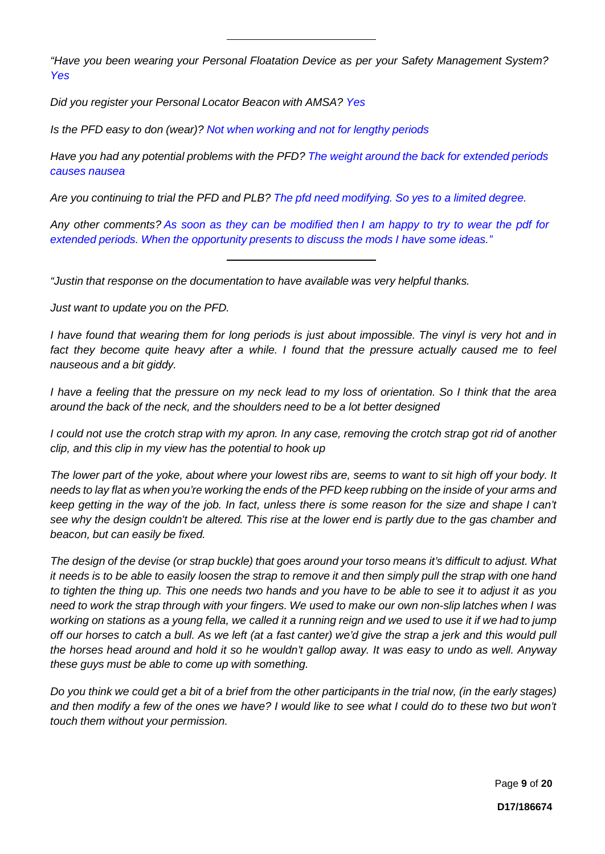*"Have you been wearing your Personal Floatation Device as per your Safety Management System? Yes*

*Did you register your Personal Locator Beacon with AMSA? Yes*

*Is the PFD easy to don (wear)? Not when working and not for lengthy periods*

*Have you had any potential problems with the PFD? The weight around the back for extended periods causes nausea*

Are you continuing to trial the PFD and PLB? The pfd need modifying. So yes to a limited degree.

Any other comments? As soon as they can be modified then I am happy to try to wear the pdf for *extended periods. When the opportunity presents to discuss the mods I have some ideas."*

*"Justin that response on the documentation to have available was very helpful thanks.* 

*Just want to update you on the PFD.*

I have found that wearing them for long periods is just about impossible. The vinyl is very hot and in *fact they become quite heavy after a while. I found that the pressure actually caused me to feel nauseous and a bit giddy.*

I have a feeling that the pressure on my neck lead to my loss of orientation. So I think that the area *around the back of the neck, and the shoulders need to be a lot better designed*

I could not use the crotch strap with my apron. In any case, removing the crotch strap got rid of another *clip, and this clip in my view has the potential to hook up*

*The lower part of the yoke, about where your lowest ribs are, seems to want to sit high off your body. It* needs to lay flat as when you're working the ends of the PFD keep rubbing on the inside of your arms and keep getting in the way of the job. In fact, unless there is some reason for the size and shape I can't see why the design couldn't be altered. This rise at the lower end is partly due to the gas chamber and *beacon, but can easily be fixed.*

*The design of the devise (or strap buckle) that goes around your torso means it's difficult to adjust. What* it needs is to be able to easily loosen the strap to remove it and then simply pull the strap with one hand to tighten the thing up. This one needs two hands and you have to be able to see it to adjust it as you need to work the strap through with your fingers. We used to make our own non-slip latches when I was working on stations as a young fella, we called it a running reign and we used to use it if we had to jump off our horses to catch a bull. As we left (at a fast canter) we'd give the strap a jerk and this would pull *the horses head around and hold it so he wouldn't gallop away. It was easy to undo as well. Anyway these guys must be able to come up with something.*

Do you think we could get a bit of a brief from the other participants in the trial now, (in the early stages) and then modify a few of the ones we have? I would like to see what I could do to these two but won't *touch them without your permission.*

Page **9** of **20**

**D17/186674**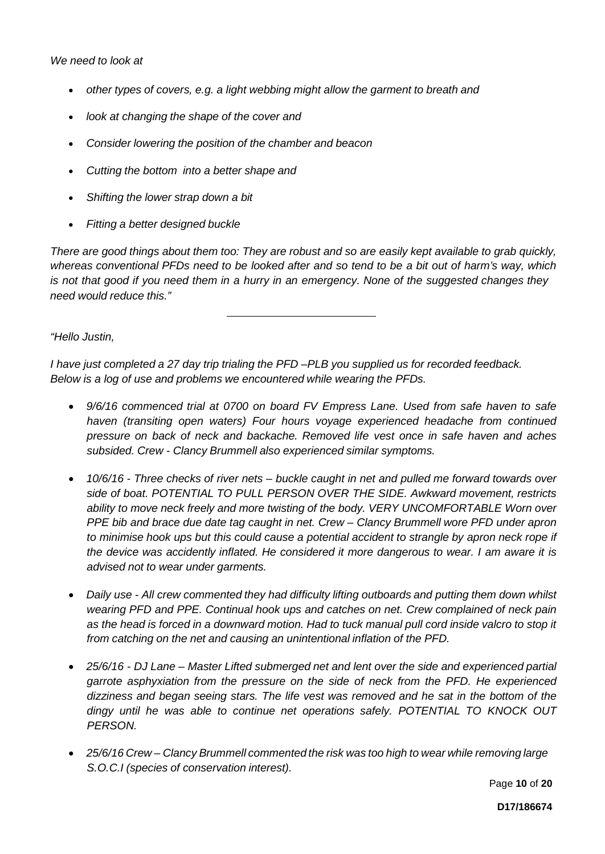*We need to look at*

- *other types of covers, e.g. a light webbing might allow the garment to breath and*
- *look at changing the shape of the cover and*
- *Consider lowering the position of the chamber and beacon*
- *Cutting the bottom into a better shape and*
- *Shifting the lower strap down a bit*
- *Fitting a better designed buckle*

There are good things about them too: They are robust and so are easily kept available to grab quickly, whereas conventional PFDs need to be looked after and so tend to be a bit out of harm's way, which is not that good if you need them in a hurry in an emergency. None of the suggested changes they *need would reduce this."*

*"Hello Justin,*

*I have just completed a 27 day trip trialing the PFD –PLB you supplied us for recorded feedback. Below is a log of use and problems we encountered while wearing the PFDs.*

- *9/6/16 commenced trial at 0700 on board FV Empress Lane. Used from safe haven to safe haven (transiting open waters) Four hours voyage experienced headache from continued pressure on back of neck and backache. Removed life vest once in safe haven and aches subsided. Crew - Clancy Brummell also experienced similar symptoms.*
- *10/6/16 - Three checks of river nets – buckle caught in net and pulled me forward towards over side of boat. POTENTIAL TO PULL PERSON OVER THE SIDE. Awkward movement, restricts ability to move neck freely and more twisting of the body. VERY UNCOMFORTABLE Worn over PPE bib and brace due date tag caught in net. Crew – Clancy Brummell wore PFD under apron to minimise hook ups but this could cause a potential accident to strangle by apron neck rope if the device was accidently inflated. He considered it more dangerous to wear. I am aware it is advised not to wear under garments.*
- *Daily use - All crew commented they had difficulty lifting outboards and putting them down whilst wearing PFD and PPE. Continual hook ups and catches on net. Crew complained of neck pain as the head is forced in a downward motion. Had to tuck manual pull cord inside valcro to stop it from catching on the net and causing an unintentional inflation of the PFD.*
- *25/6/16 - DJ Lane – Master Lifted submerged net and lent over the side and experienced partial garrote asphyxiation from the pressure on the side of neck from the PFD. He experienced dizziness and began seeing stars. The life vest was removed and he sat in the bottom of the dingy until he was able to continue net operations safely. POTENTIAL TO KNOCK OUT PERSON.*
- *25/6/16 Crew – Clancy Brummell commented the risk was too high to wear while removing large S.O.C.I (species of conservation interest).*

Page **10** of **20**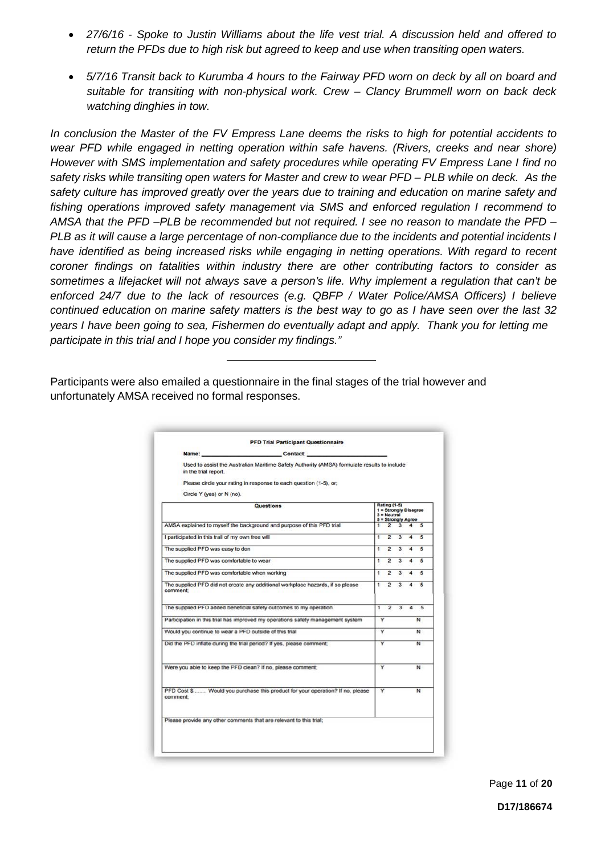- *27/6/16 - Spoke to Justin Williams about the life vest trial. A discussion held and offered to return the PFDs due to high risk but agreed to keep and use when transiting open waters.*
- *5/7/16 Transit back to Kurumba 4 hours to the Fairway PFD worn on deck by all on board and suitable for transiting with non-physical work. Crew – Clancy Brummell worn on back deck watching dinghies in tow.*

*In conclusion the Master of the FV Empress Lane deems the risks to high for potential accidents to wear PFD while engaged in netting operation within safe havens. (Rivers, creeks and near shore) However with SMS implementation and safety procedures while operating FV Empress Lane I find no*  safety risks while transiting open waters for Master and crew to wear PFD - PLB while on deck. As the *safety culture has improved greatly over the years due to training and education on marine safety and fishing operations improved safety management via SMS and enforced regulation I recommend to AMSA that the PFD –PLB be recommended but not required. I see no reason to mandate the PFD – PLB as it will cause a large percentage of non-compliance due to the incidents and potential incidents I have identified as being increased risks while engaging in netting operations. With regard to recent coroner findings on fatalities within industry there are other contributing factors to consider as sometimes a lifejacket will not always save a person's life. Why implement a regulation that can't be enforced 24/7 due to the lack of resources (e.g. QBFP / Water Police/AMSA Officers) I believe*  continued education on marine safety matters is the best way to go as I have seen over the last 32 *years I have been going to sea, Fishermen do eventually adapt and apply. Thank you for letting me participate in this trial and I hope you consider my findings."*

Participants were also emailed a questionnaire in the final stages of the trial however and unfortunately AMSA received no formal responses.

| Used to assist the Australian Maritime Safety Authority (AMSA) formulate results to include<br>in the trial report. |                         |                                                                                     |                                 |                |                |
|---------------------------------------------------------------------------------------------------------------------|-------------------------|-------------------------------------------------------------------------------------|---------------------------------|----------------|----------------|
|                                                                                                                     |                         |                                                                                     |                                 |                |                |
| Please circle your rating in response to each question (1-5), or;                                                   |                         |                                                                                     |                                 |                |                |
| Circle Y (yes) or N (no).                                                                                           |                         |                                                                                     |                                 |                |                |
| Questions                                                                                                           |                         | <b>Rating (1-5)</b><br>1 = Strongly Disagree<br>$3 =$ Noutral<br>5 = Strongly Agree |                                 |                |                |
| AMSA explained to myself the background and purpose of this PFD trial                                               |                         |                                                                                     | $1\quad 2\quad 3\quad 4\quad 5$ |                |                |
| I participated in this trail of my own free will                                                                    |                         |                                                                                     | $1\quad 2\quad 3\quad 4\quad 5$ |                |                |
| The supplied PFD was easy to don                                                                                    |                         |                                                                                     | $1\ 2\ 3\ 4\ 5$                 |                |                |
| The supplied PFD was comfortable to wear                                                                            |                         |                                                                                     | $1 \t2 \t3 \t4$                 |                | 5              |
| The supplied PFD was comfortable when working                                                                       | 1                       | $\overline{2}$                                                                      |                                 | $3\quad 4$     | 5              |
| The supplied PFD did not create any additional workplace hazards, if so please<br>comment:                          |                         | $1\quad 2$                                                                          | $\overline{3}$                  | $\overline{4}$ | 5              |
| The supplied PFD added beneficial safety outcomes to my operation                                                   |                         |                                                                                     | $1 \t2 \t3 \t4$                 |                | $\overline{5}$ |
| Participation in this trial has improved my operations safety management system                                     | Y                       |                                                                                     |                                 |                | $\mathbf{N}$   |
| Would you continue to wear a PFD outside of this trial                                                              | Y                       |                                                                                     | $\mathbb{N}$                    |                |                |
| Did the PFD inflate during the trial period? If yes, please comment;                                                | $\overline{\mathsf{v}}$ |                                                                                     | $\overline{N}$                  |                |                |
| Were you able to keep the PFD clean? If no, please comment;                                                         | Y                       |                                                                                     | N                               |                |                |
|                                                                                                                     | $\overline{\mathsf{Y}}$ |                                                                                     |                                 |                | N              |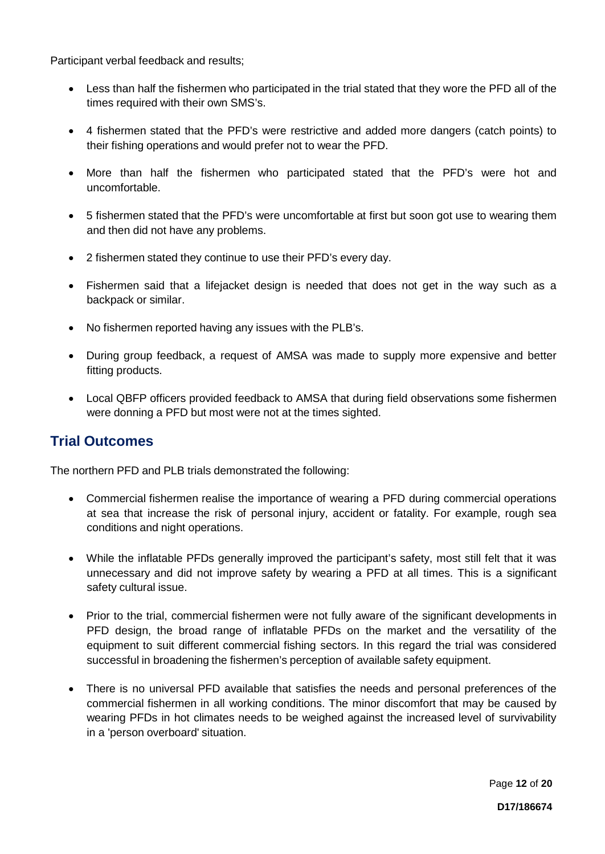Participant verbal feedback and results;

- Less than half the fishermen who participated in the trial stated that they wore the PFD all of the times required with their own SMS's.
- 4 fishermen stated that the PFD's were restrictive and added more dangers (catch points) to their fishing operations and would prefer not to wear the PFD.
- More than half the fishermen who participated stated that the PFD's were hot and uncomfortable.
- 5 fishermen stated that the PFD's were uncomfortable at first but soon got use to wearing them and then did not have any problems.
- 2 fishermen stated they continue to use their PFD's every day.
- Fishermen said that a lifejacket design is needed that does not get in the way such as a backpack or similar.
- No fishermen reported having any issues with the PLB's.
- During group feedback, a request of AMSA was made to supply more expensive and better fitting products.
- Local QBFP officers provided feedback to AMSA that during field observations some fishermen were donning a PFD but most were not at the times sighted.

### **Trial Outcomes**

The northern PFD and PLB trials demonstrated the following:

- Commercial fishermen realise the importance of wearing a PFD during commercial operations at sea that increase the risk of personal injury, accident or fatality. For example, rough sea conditions and night operations.
- While the inflatable PFDs generally improved the participant's safety, most still felt that it was unnecessary and did not improve safety by wearing a PFD at all times. This is a significant safety cultural issue.
- Prior to the trial, commercial fishermen were not fully aware of the significant developments in PFD design, the broad range of inflatable PFDs on the market and the versatility of the equipment to suit different commercial fishing sectors. In this regard the trial was considered successful in broadening the fishermen's perception of available safety equipment.
- There is no universal PFD available that satisfies the needs and personal preferences of the commercial fishermen in all working conditions. The minor discomfort that may be caused by wearing PFDs in hot climates needs to be weighed against the increased level of survivability in a 'person overboard' situation.

Page **12** of **20**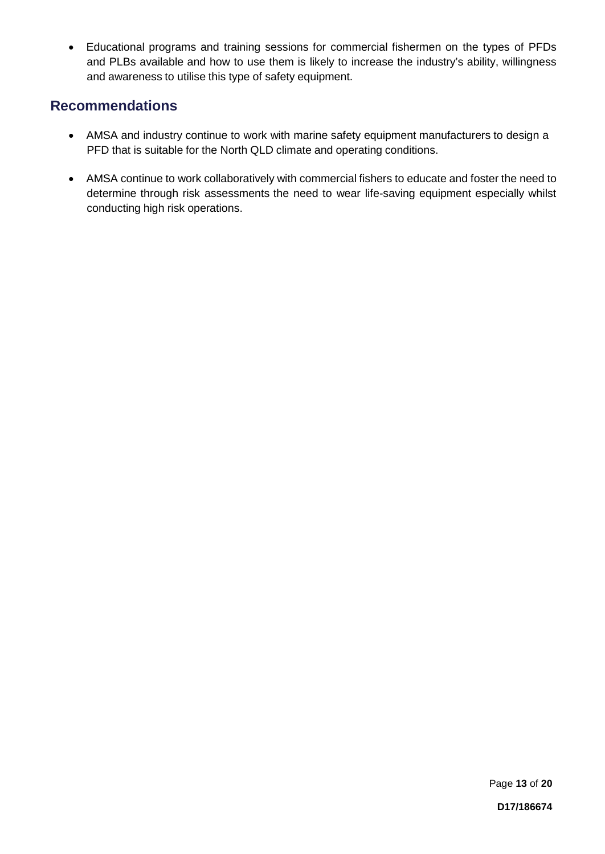• Educational programs and training sessions for commercial fishermen on the types of PFDs and PLBs available and how to use them is likely to increase the industry's ability, willingness and awareness to utilise this type of safety equipment.

### **Recommendations**

- AMSA and industry continue to work with marine safety equipment manufacturers to design a PFD that is suitable for the North QLD climate and operating conditions.
- AMSA continue to work collaboratively with commercial fishers to educate and foster the need to determine through risk assessments the need to wear life-saving equipment especially whilst conducting high risk operations.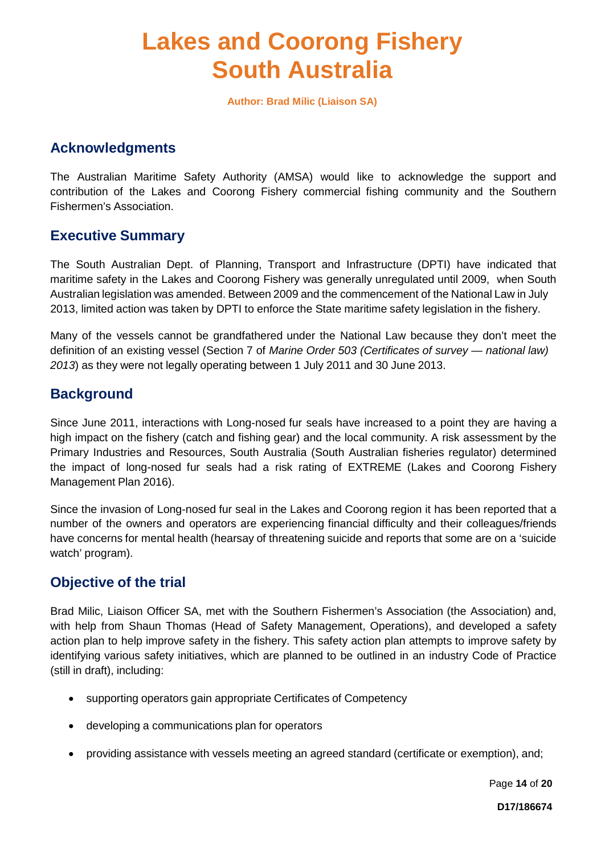### **Lakes and Coorong Fishery South Australia**

**Author: Brad Milic (Liaison SA)**

### **Acknowledgments**

The Australian Maritime Safety Authority (AMSA) would like to acknowledge the support and contribution of the Lakes and Coorong Fishery commercial fishing community and the Southern Fishermen's Association.

### **Executive Summary**

The South Australian Dept. of Planning, Transport and Infrastructure (DPTI) have indicated that maritime safety in the Lakes and Coorong Fishery was generally unregulated until 2009, when South Australian legislation was amended. Between 2009 and the commencement of the National Law in July 2013, limited action was taken by DPTI to enforce the State maritime safety legislation in the fishery.

Many of the vessels cannot be grandfathered under the National Law because they don't meet the definition of an existing vessel (Section 7 of *Marine Order 503 (Certificates of survey — national law) 2013*) as they were not legally operating between 1 July 2011 and 30 June 2013.

### **Background**

Since June 2011, interactions with Long-nosed fur seals have increased to a point they are having a high impact on the fishery (catch and fishing gear) and the local community. A risk assessment by the Primary Industries and Resources, South Australia (South Australian fisheries regulator) determined the impact of long-nosed fur seals had a risk rating of EXTREME (Lakes and Coorong Fishery Management Plan 2016).

Since the invasion of Long-nosed fur seal in the Lakes and Coorong region it has been reported that a number of the owners and operators are experiencing financial difficulty and their colleagues/friends have concerns for mental health (hearsay of threatening suicide and reports that some are on a 'suicide watch' program).

### **Objective of the trial**

Brad Milic, Liaison Officer SA, met with the Southern Fishermen's Association (the Association) and, with help from Shaun Thomas (Head of Safety Management, Operations), and developed a safety action plan to help improve safety in the fishery. This safety action plan attempts to improve safety by identifying various safety initiatives, which are planned to be outlined in an industry Code of Practice (still in draft), including:

- supporting operators gain appropriate Certificates of Competency
- developing a communications plan for operators
- providing assistance with vessels meeting an agreed standard (certificate or exemption), and;

Page **14** of **20**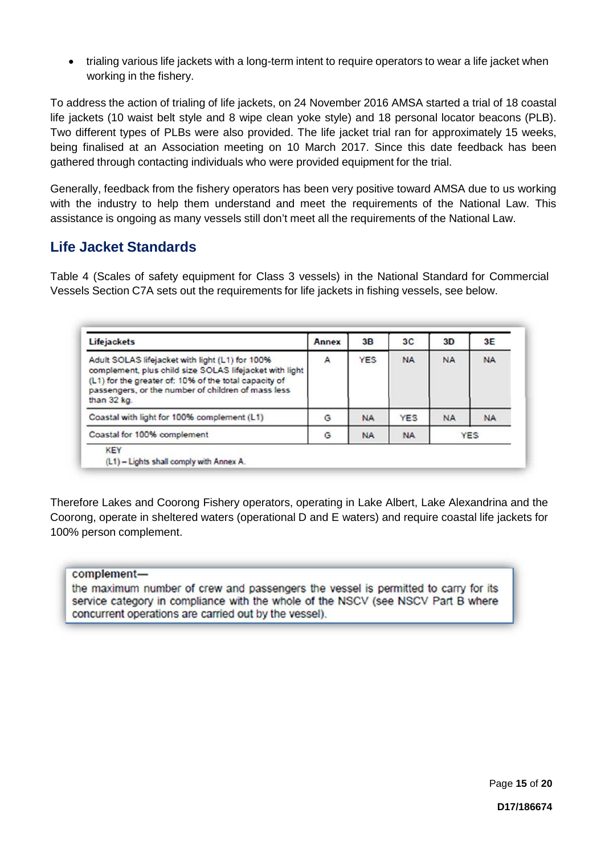• trialing various life jackets with a long-term intent to require operators to wear a life jacket when working in the fishery.

To address the action of trialing of life jackets, on 24 November 2016 AMSA started a trial of 18 coastal life jackets (10 waist belt style and 8 wipe clean yoke style) and 18 personal locator beacons (PLB). Two different types of PLBs were also provided. The life jacket trial ran for approximately 15 weeks, being finalised at an Association meeting on 10 March 2017. Since this date feedback has been gathered through contacting individuals who were provided equipment for the trial.

Generally, feedback from the fishery operators has been very positive toward AMSA due to us working with the industry to help them understand and meet the requirements of the National Law. This assistance is ongoing as many vessels still don't meet all the requirements of the National Law.

### **Life Jacket Standards**

Table 4 (Scales of safety equipment for Class 3 vessels) in the National Standard for Commercial Vessels Section C7A sets out the requirements for life jackets in fishing vessels, see below.

| <b>Lifejackets</b>                                                                                                                                                                                                                       | <b>Annex</b> | 3B         | 3 <sup>C</sup> | 3D         | 3E        |
|------------------------------------------------------------------------------------------------------------------------------------------------------------------------------------------------------------------------------------------|--------------|------------|----------------|------------|-----------|
| Adult SOLAS lifejacket with light (L1) for 100%<br>complement, plus child size SOLAS lifejacket with light<br>(L1) for the greater of: 10% of the total capacity of<br>passengers, or the number of children of mass less<br>than 32 kg. | A            | <b>YES</b> | <b>NA</b>      | <b>NA</b>  | <b>NA</b> |
| Coastal with light for 100% complement (L1)                                                                                                                                                                                              | G            | <b>NA</b>  | <b>YES</b>     | <b>NA</b>  | <b>NA</b> |
| Coastal for 100% complement                                                                                                                                                                                                              | G            | <b>NA</b>  | <b>NA</b>      | <b>YES</b> |           |
| <b>KEY</b><br>(L1) - Lights shall comply with Annex A.                                                                                                                                                                                   |              |            |                |            |           |

Therefore Lakes and Coorong Fishery operators, operating in Lake Albert, Lake Alexandrina and the Coorong, operate in sheltered waters (operational D and E waters) and require coastal life jackets for 100% person complement.

#### complementthe maximum number of crew and passengers the vessel is permitted to carry for its service category in compliance with the whole of the NSCV (see NSCV Part B where concurrent operations are carried out by the vessel).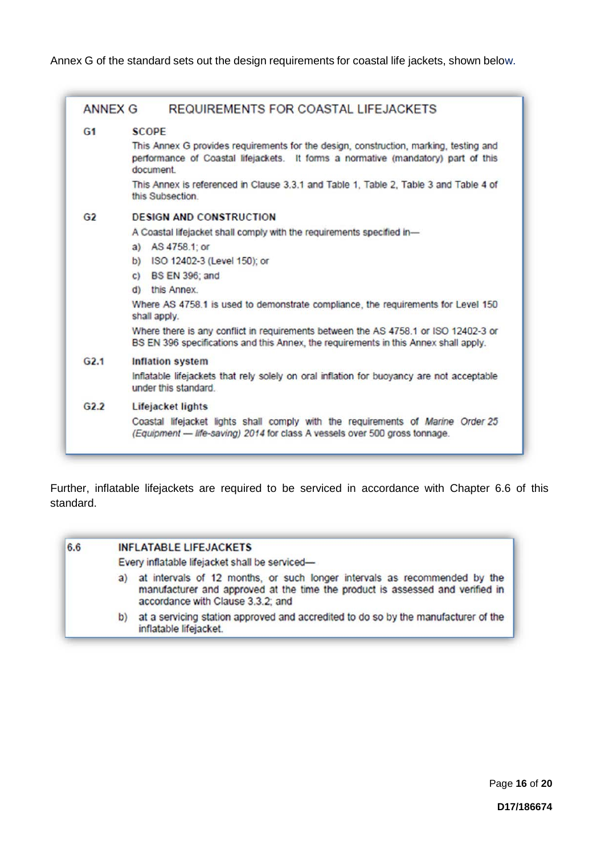Annex G of the standard sets out the design requirements for coastal life jackets, shown below.

| ANNEX G        | REQUIREMENTS FOR COASTAL LIFEJACKETS                                                                                                                                                   |
|----------------|----------------------------------------------------------------------------------------------------------------------------------------------------------------------------------------|
| G <sub>1</sub> | <b>SCOPE</b>                                                                                                                                                                           |
|                | This Annex G provides requirements for the design, construction, marking, testing and<br>performance of Coastal lifejackets. It forms a normative (mandatory) part of this<br>document |
|                | This Annex is referenced in Clause 3.3.1 and Table 1, Table 2, Table 3 and Table 4 of<br>this Subsection.                                                                              |
| G2             | <b>DESIGN AND CONSTRUCTION</b>                                                                                                                                                         |
|                | A Coastal lifejacket shall comply with the requirements specified in-                                                                                                                  |
|                | a) AS 4758.1; or                                                                                                                                                                       |
|                | b) ISO 12402-3 (Level 150); or                                                                                                                                                         |
|                | c) BS $EN$ 396; and                                                                                                                                                                    |
|                | d) this Annex.                                                                                                                                                                         |
|                | Where AS 4758.1 is used to demonstrate compliance, the requirements for Level 150<br>shall apply.                                                                                      |
|                | Where there is any conflict in requirements between the AS 4758.1 or ISO 12402-3 or<br>BS EN 396 specifications and this Annex, the requirements in this Annex shall apply.            |
| G2.1           | <b>Inflation system</b>                                                                                                                                                                |
|                | Inflatable lifejackets that rely solely on oral inflation for buoyancy are not acceptable<br>under this standard                                                                       |
| G2.2           | Lifejacket lights                                                                                                                                                                      |
|                | Coastal lifejacket lights shall comply with the requirements of Marine Order 25<br>(Equipment - life-saving) 2014 for class A vessels over 500 gross tonnage.                          |

Further, inflatable lifejackets are required to be serviced in accordance with Chapter 6.6 of this standard.

### 6.6 **INFLATABLE LIFEJACKETS** Every inflatable lifejacket shall be serviceda) at intervals of 12 months, or such longer intervals as recommended by the manufacturer and approved at the time the product is assessed and verified in accordance with Clause 3.3.2; and b) at a servicing station approved and accredited to do so by the manufacturer of the inflatable lifejacket.

Page **16** of **20**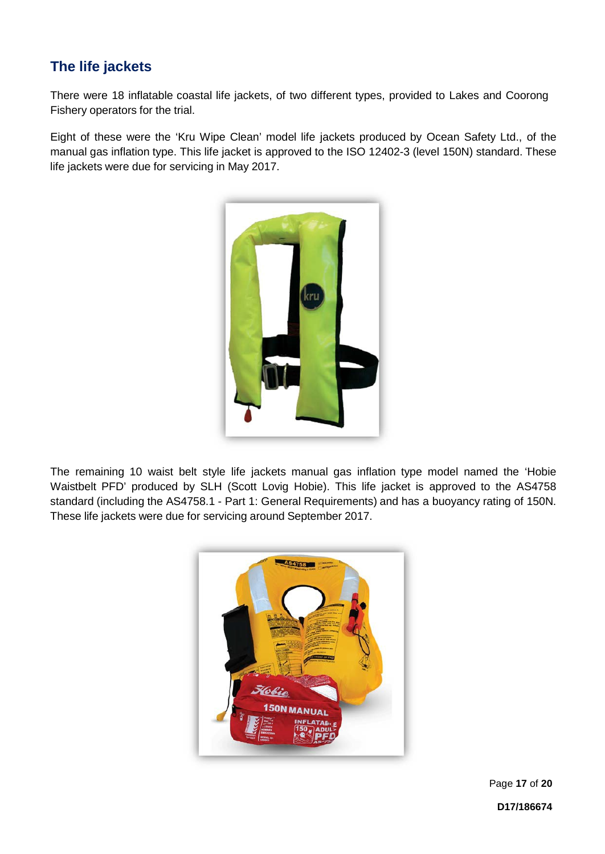### **The life jackets**

There were 18 inflatable coastal life jackets, of two different types, provided to Lakes and Coorong Fishery operators for the trial.

Eight of these were the 'Kru Wipe Clean' model life jackets produced by Ocean Safety Ltd., of the manual gas inflation type. This life jacket is approved to the ISO 12402-3 (level 150N) standard. These life jackets were due for servicing in May 2017.



The remaining 10 waist belt style life jackets manual gas inflation type model named the 'Hobie Waistbelt PFD' produced by SLH (Scott Lovig Hobie). This life jacket is approved to the AS4758 standard (including the AS4758.1 - Part 1: General Requirements) and has a buoyancy rating of 150N. These life jackets were due for servicing around September 2017.



Page **17** of **20**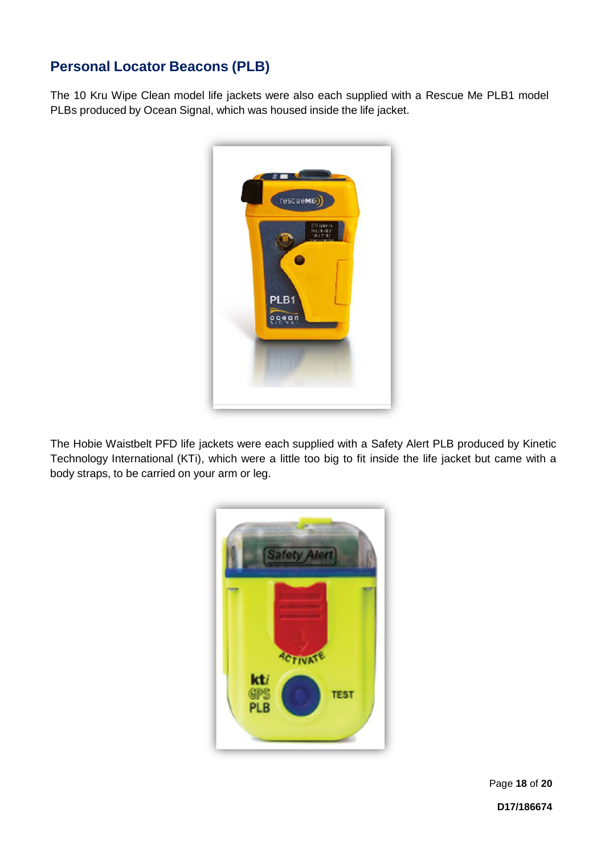### **Personal Locator Beacons (PLB)**

The 10 Kru Wipe Clean model life jackets were also each supplied with a Rescue Me PLB1 model PLBs produced by Ocean Signal, which was housed inside the life jacket.



The Hobie Waistbelt PFD life jackets were each supplied with a Safety Alert PLB produced by Kinetic Technology International (KTi), which were a little too big to fit inside the life jacket but came with a body straps, to be carried on your arm or leg.



Page **18** of **20**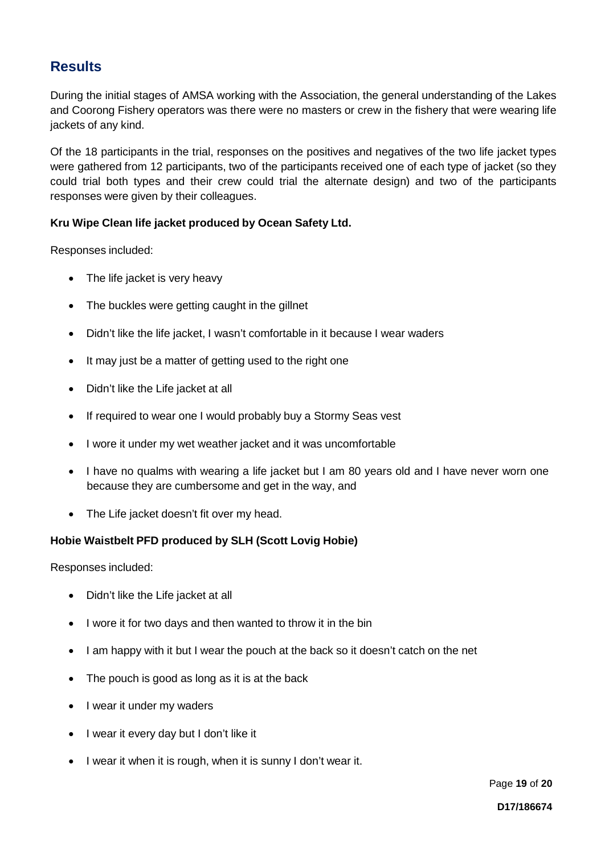### **Results**

During the initial stages of AMSA working with the Association, the general understanding of the Lakes and Coorong Fishery operators was there were no masters or crew in the fishery that were wearing life jackets of any kind.

Of the 18 participants in the trial, responses on the positives and negatives of the two life jacket types were gathered from 12 participants, two of the participants received one of each type of jacket (so they could trial both types and their crew could trial the alternate design) and two of the participants responses were given by their colleagues.

### **Kru Wipe Clean life jacket produced by Ocean Safety Ltd.**

Responses included:

- The life jacket is very heavy
- The buckles were getting caught in the gillnet
- Didn't like the life jacket, I wasn't comfortable in it because I wear waders
- It may just be a matter of getting used to the right one
- Didn't like the Life jacket at all
- If required to wear one I would probably buy a Stormy Seas vest
- I wore it under my wet weather jacket and it was uncomfortable
- I have no qualms with wearing a life jacket but I am 80 years old and I have never worn one because they are cumbersome and get in the way, and
- The Life jacket doesn't fit over my head.

### **Hobie Waistbelt PFD produced by SLH (Scott Lovig Hobie)**

Responses included:

- Didn't like the Life jacket at all
- I wore it for two days and then wanted to throw it in the bin
- I am happy with it but I wear the pouch at the back so it doesn't catch on the net
- The pouch is good as long as it is at the back
- I wear it under my waders
- I wear it every day but I don't like it
- I wear it when it is rough, when it is sunny I don't wear it.